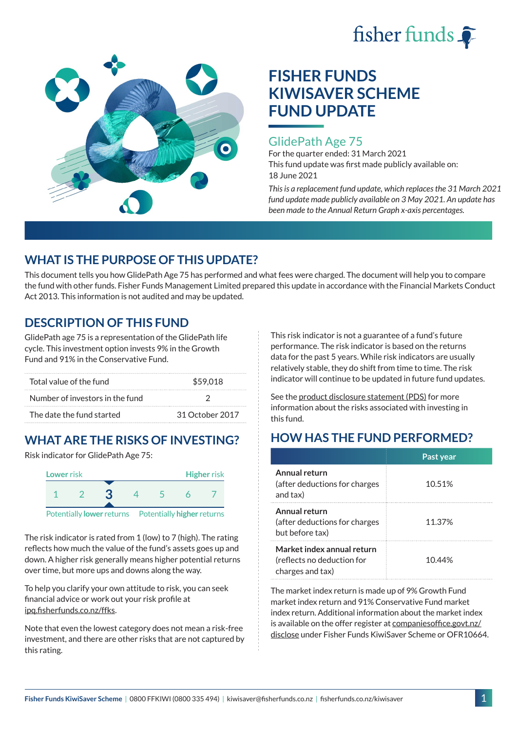



# **FISHER FUNDS KIWISAVER SCHEME FUND UPDATE**

### GlidePath Age 75

For the quarter ended: 31 March 2021 This fund update was first made publicly available on: 18 June 2021

*This is a replacement fund update, which replaces the 31 March 2021 fund update made publicly available on 3 May 2021. An update has been made to the Annual Return Graph x-axis percentages.*

# **WHAT IS THE PURPOSE OF THIS UPDATE?**

This document tells you how GlidePath Age 75 has performed and what fees were charged. The document will help you to compare the fund with other funds. Fisher Funds Management Limited prepared this update in accordance with the Financial Markets Conduct Act 2013. This information is not audited and may be updated.

# **DESCRIPTION OF THIS FUND**

GlidePath age 75 is a representation of the GlidePath life cycle. This investment option invests 9% in the Growth Fund and 91% in the Conservative Fund.

| Total value of the fund         | \$59.018        |  |
|---------------------------------|-----------------|--|
| Number of investors in the fund |                 |  |
| The date the fund started       | 31 October 2017 |  |

# **WHAT ARE THE RISKS OF INVESTING?**

Risk indicator for GlidePath Age 75:



The risk indicator is rated from 1 (low) to 7 (high). The rating reflects how much the value of the fund's assets goes up and down. A higher risk generally means higher potential returns over time, but more ups and downs along the way.

To help you clarify your own attitude to risk, you can seek financial advice or work out your risk profile at [ipq.fisherfunds.co.nz/ffks](https://ipq.fisherfunds.co.nz/ffks).

Note that even the lowest category does not mean a risk-free investment, and there are other risks that are not captured by this rating.

This risk indicator is not a guarantee of a fund's future performance. The risk indicator is based on the returns data for the past 5 years. While risk indicators are usually relatively stable, they do shift from time to time. The risk indicator will continue to be updated in future fund updates.

See the [product disclosure statement \(PDS\)](https://fisherfunds.co.nz/assets/PDS/Fisher-Funds-KiwiSaver-Scheme-PDS.pdf) for more information about the risks associated with investing in this fund.

# **HOW HAS THE FUND PERFORMED?**

|                                                                              | Past year |
|------------------------------------------------------------------------------|-----------|
| Annual return<br>(after deductions for charges<br>and tax)                   | 10.51%    |
| Annual return<br>(after deductions for charges<br>but before tax)            | 11.37%    |
| Market index annual return<br>(reflects no deduction for<br>charges and tax) | 10.44%    |

The market index return is made up of 9% Growth Fund market index return and 91% Conservative Fund market index return. Additional information about the market index is available on the offer register at [companiesoffice.govt.nz/](http://companiesoffice.govt.nz/disclose) [disclose](http://companiesoffice.govt.nz/disclose) under Fisher Funds KiwiSaver Scheme or OFR10664.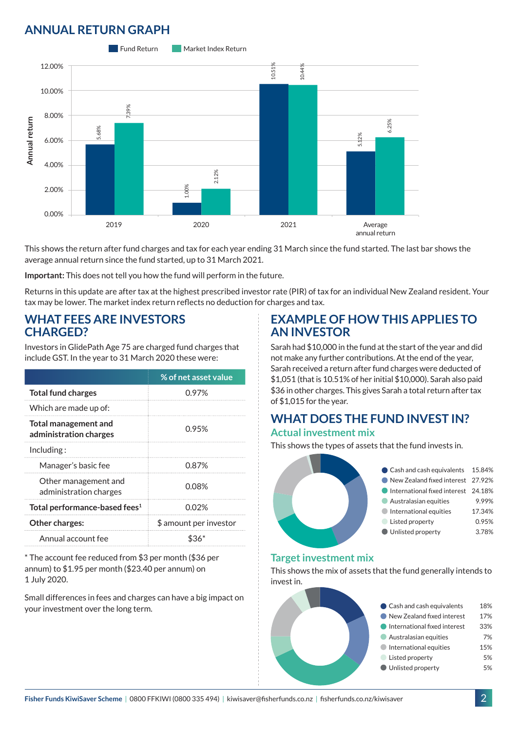# **ANNUAL RETURN GRAPH**



This shows the return after fund charges and tax for each year ending 31 March since the fund started. The last bar shows the average annual return since the fund started, up to 31 March 2021.

**Important:** This does not tell you how the fund will perform in the future.

Returns in this update are after tax at the highest prescribed investor rate (PIR) of tax for an individual New Zealand resident. Your tax may be lower. The market index return reflects no deduction for charges and tax.

#### **WHAT FEES ARE INVESTORS CHARGED?**

Investors in GlidePath Age 75 are charged fund charges that include GST. In the year to 31 March 2020 these were:

|                                                | % of net asset value   |  |
|------------------------------------------------|------------------------|--|
| <b>Total fund charges</b>                      | 0.97%                  |  |
| Which are made up of:                          |                        |  |
| Total management and<br>administration charges | 0.95%                  |  |
| Inding:                                        |                        |  |
| Manager's basic fee                            | 0.87%                  |  |
| Other management and<br>administration charges | 0.08%                  |  |
| Total performance-based fees <sup>1</sup>      | 0.02%                  |  |
| Other charges:                                 | \$ amount per investor |  |
| Annual account fee                             |                        |  |

\* The account fee reduced from \$3 per month (\$36 per annum) to \$1.95 per month (\$23.40 per annum) on 1 July 2020.

Small differences in fees and charges can have a big impact on your investment over the long term.

### **EXAMPLE OF HOW THIS APPLIES TO AN INVESTOR**

Sarah had \$10,000 in the fund at the start of the year and did not make any further contributions. At the end of the year, Sarah received a return after fund charges were deducted of \$1,051 (that is 10.51% of her initial \$10,000). Sarah also paid \$36 in other charges. This gives Sarah a total return after tax of \$1,015 for the year.

#### **WHAT DOES THE FUND INVEST IN? Actual investment mix**

This shows the types of assets that the fund invests in.



#### **Target investment mix**

This shows the mix of assets that the fund generally intends to invest in.